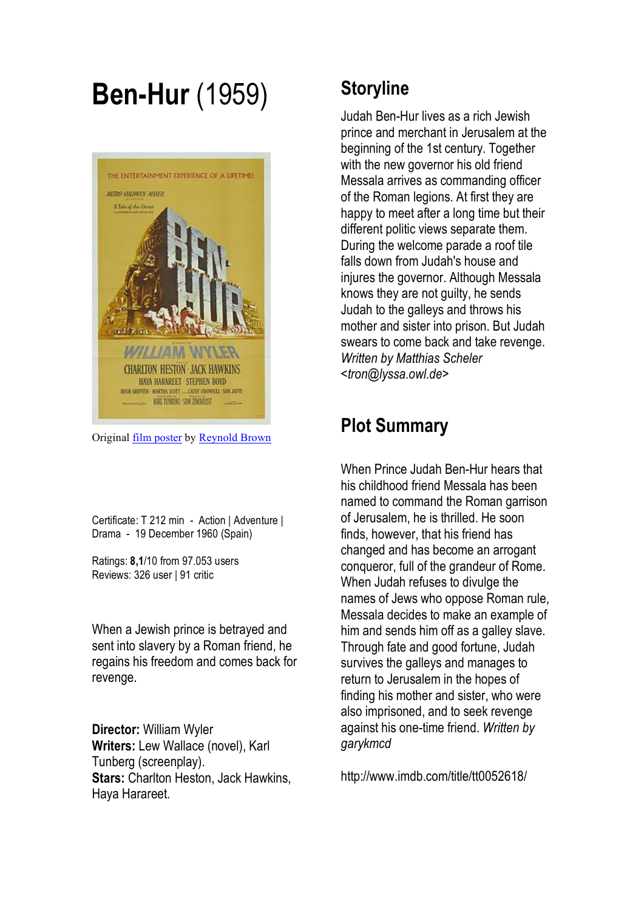## **Ben-Hur** (1959)



Original film poster by Reynold Brown

Certificate: T 212 min - Action | Adventure | Drama - 19 December 1960 (Spain)

Ratings: **8,1**/10 from 97.053 users Reviews: 326 user | 91 critic

When a Jewish prince is betrayed and sent into slavery by a Roman friend, he regains his freedom and comes back for revenge.

**Director:** William Wyler **Writers:** Lew Wallace (novel), Karl Tunberg (screenplay). **Stars:** Charlton Heston, Jack Hawkins, Haya Harareet.

### **Storyline**

Judah Ben-Hur lives as a rich Jewish prince and merchant in Jerusalem at the beginning of the 1st century. Together with the new governor his old friend Messala arrives as commanding officer of the Roman legions. At first they are happy to meet after a long time but their different politic views separate them. During the welcome parade a roof tile falls down from Judah's house and injures the governor. Although Messala knows they are not guilty, he sends Judah to the galleys and throws his mother and sister into prison. But Judah swears to come back and take revenge. *Written by Matthias Scheler <tron@lyssa.owl.de>*

## **Plot Summary**

When Prince Judah Ben-Hur hears that his childhood friend Messala has been named to command the Roman garrison of Jerusalem, he is thrilled. He soon finds, however, that his friend has changed and has become an arrogant conqueror, full of the grandeur of Rome. When Judah refuses to divulge the names of Jews who oppose Roman rule, Messala decides to make an example of him and sends him off as a galley slave. Through fate and good fortune, Judah survives the galleys and manages to return to Jerusalem in the hopes of finding his mother and sister, who were also imprisoned, and to seek revenge against his one-time friend. *Written by garykmcd*

http://www.imdb.com/title/tt0052618/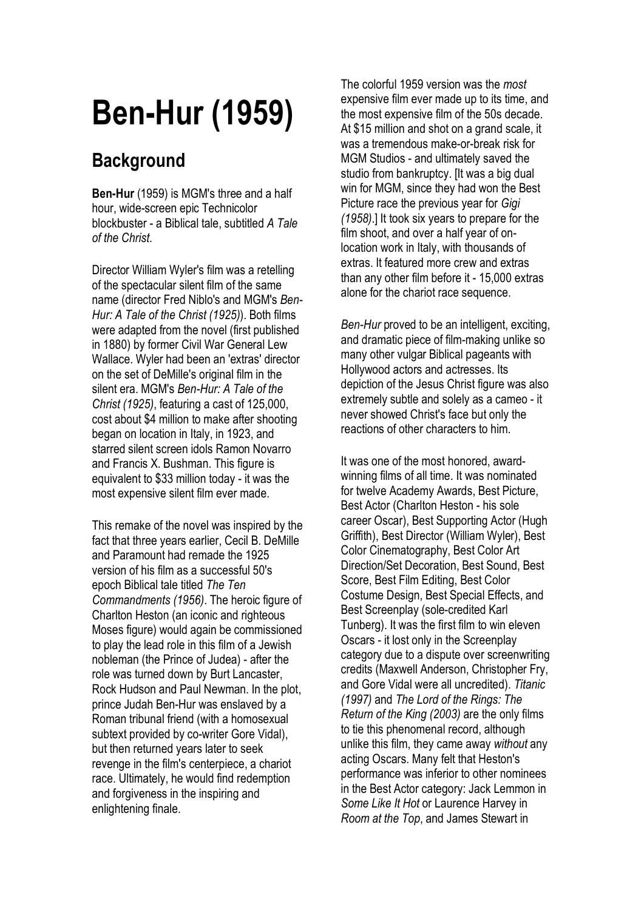# **Ben-Hur (1959)**

## **Background**

**Ben-Hur** (1959) is MGM's three and a half hour, wide-screen epic Technicolor blockbuster - a Biblical tale, subtitled *A Tale of the Christ*.

Director William Wyler's film was a retelling of the spectacular silent film of the same name (director Fred Niblo's and MGM's *Ben-Hur: A Tale of the Christ (1925)*). Both films were adapted from the novel (first published in 1880) by former Civil War General Lew Wallace. Wyler had been an 'extras' director on the set of DeMille's original film in the silent era. MGM's *Ben-Hur: A Tale of the Christ (1925)*, featuring a cast of 125,000, cost about \$4 million to make after shooting began on location in Italy, in 1923, and starred silent screen idols Ramon Novarro and Francis X. Bushman. This figure is equivalent to \$33 million today - it was the most expensive silent film ever made.

This remake of the novel was inspired by the fact that three years earlier, Cecil B. DeMille and Paramount had remade the 1925 version of his film as a successful 50's epoch Biblical tale titled *The Ten Commandments (1956)*. The heroic figure of Charlton Heston (an iconic and righteous Moses figure) would again be commissioned to play the lead role in this film of a Jewish nobleman (the Prince of Judea) - after the role was turned down by Burt Lancaster, Rock Hudson and Paul Newman. In the plot, prince Judah Ben-Hur was enslaved by a Roman tribunal friend (with a homosexual subtext provided by co-writer Gore Vidal), but then returned years later to seek revenge in the film's centerpiece, a chariot race. Ultimately, he would find redemption and forgiveness in the inspiring and enlightening finale.

The colorful 1959 version was the *most* expensive film ever made up to its time, and the most expensive film of the 50s decade. At \$15 million and shot on a grand scale, it was a tremendous make-or-break risk for MGM Studios - and ultimately saved the studio from bankruptcy. [It was a big dual win for MGM, since they had won the Best Picture race the previous year for *Gigi (1958)*.] It took six years to prepare for the film shoot, and over a half year of onlocation work in Italy, with thousands of extras. It featured more crew and extras than any other film before it - 15,000 extras alone for the chariot race sequence.

*Ben-Hur* proved to be an intelligent, exciting, and dramatic piece of film-making unlike so many other vulgar Biblical pageants with Hollywood actors and actresses. Its depiction of the Jesus Christ figure was also extremely subtle and solely as a cameo - it never showed Christ's face but only the reactions of other characters to him.

It was one of the most honored, awardwinning films of all time. It was nominated for twelve Academy Awards, Best Picture, Best Actor (Charlton Heston - his sole career Oscar), Best Supporting Actor (Hugh Griffith), Best Director (William Wyler), Best Color Cinematography, Best Color Art Direction/Set Decoration, Best Sound, Best Score, Best Film Editing, Best Color Costume Design, Best Special Effects, and Best Screenplay (sole-credited Karl Tunberg). It was the first film to win eleven Oscars - it lost only in the Screenplay category due to a dispute over screenwriting credits (Maxwell Anderson, Christopher Fry, and Gore Vidal were all uncredited). *Titanic (1997)* and *The Lord of the Rings: The Return of the King (2003)* are the only films to tie this phenomenal record, although unlike this film, they came away *without* any acting Oscars. Many felt that Heston's performance was inferior to other nominees in the Best Actor category: Jack Lemmon in *Some Like It Hot* or Laurence Harvey in *Room at the Top*, and James Stewart in